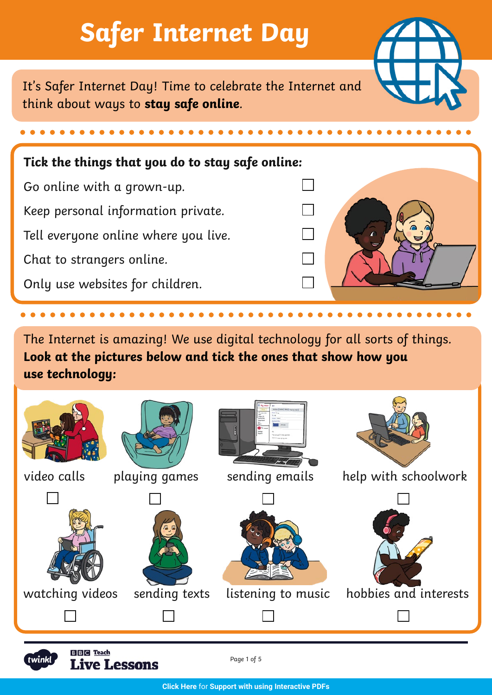## **Safer Internet Day**

It's Safer Internet Day! Time to celebrate the Internet and think about ways to **stay safe online**.

## **Tick the things that you do to stay safe online:**

Go online with a grown-up. Keep personal information private. Tell everyone online where you live. Chat to strangers online. Only use websites for children.

The Internet is amazing! We use digital technology for all sorts of things. **Look at the pictures below and tick the ones that show how you use technology:**





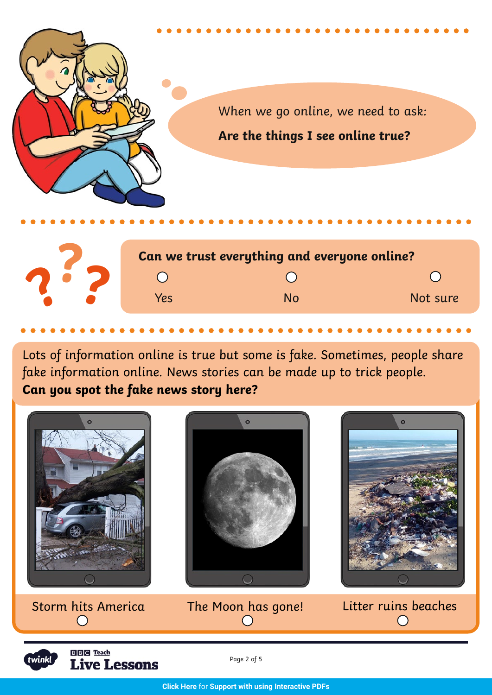



Lots of information online is true but some is fake. Sometimes, people share fake information online. News stories can be made up to trick people. **Can you spot the fake news story here?**



**BBC** Teach twinkl **Live Lessons** 

Page 2 of 5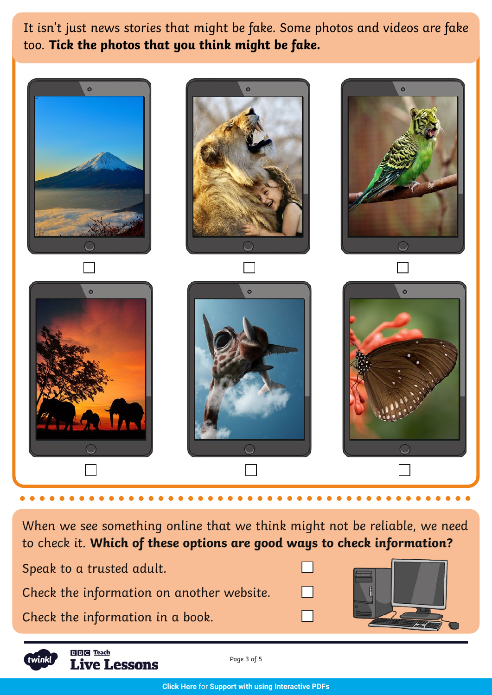It isn't just news stories that might be fake. Some photos and videos are fake too. **Tick the photos that you think might be fake.**



When we see something online that we think might not be reliable, we need to check it. **Which of these options are good ways to check information?**

| Speak to a trusted adult.                 |  |
|-------------------------------------------|--|
| Check the information on another website. |  |
| Check the information in a book.          |  |



**BBC** Teach **Live Lessons** 

Page 3 of 5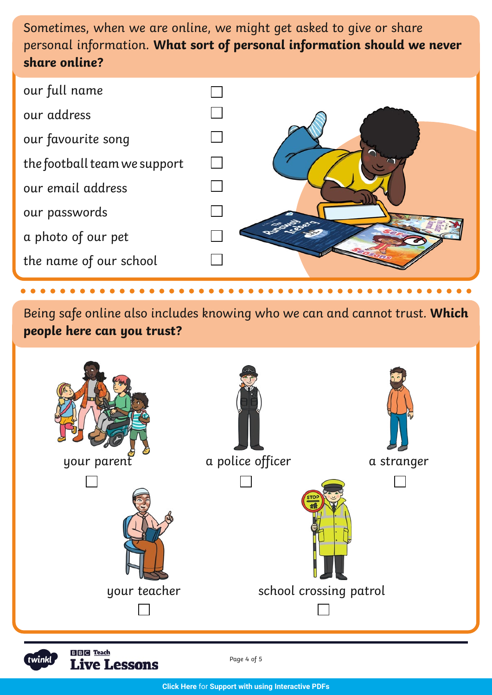Sometimes, when we are online, we might get asked to give or share personal information. **What sort of personal information should we never share online?**

| our full name                |  |
|------------------------------|--|
| our address                  |  |
| our favourite song           |  |
| the football team we support |  |
| our email address            |  |
| our passwords                |  |
| a photo of our pet           |  |
| the name of our school       |  |

Being safe online also includes knowing who we can and cannot trust. **Which people here can you trust?**